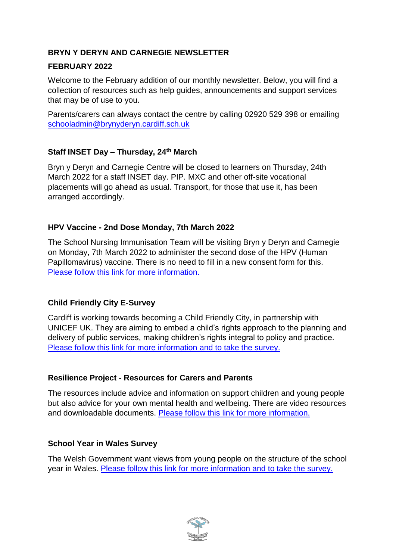# **BRYN Y DERYN AND CARNEGIE NEWSLETTER**

## **FEBRUARY 2022**

Welcome to the February addition of our monthly newsletter. Below, you will find a collection of resources such as help guides, announcements and support services that may be of use to you.

Parents/carers can always contact the centre by calling 02920 529 398 or emailing [schooladmin@brynyderyn.cardiff.sch.uk](mailto:schooladmin@brynyderyn.cardiff.sch.uk)

# **Staff INSET Day – Thursday, 24th March**

Bryn y Deryn and Carnegie Centre will be closed to learners on Thursday, 24th March 2022 for a staff INSET day. PIP. MXC and other off-site vocational placements will go ahead as usual. Transport, for those that use it, has been arranged accordingly.

# **HPV Vaccine - 2nd Dose Monday, 7th March 2022**

The School Nursing Immunisation Team will be visiting Bryn y Deryn and Carnegie on Monday, 7th March 2022 to administer the second dose of the HPV (Human Papillomavirus) vaccine. There is no need to fill in a new consent form for this. [Please follow this link](https://www.brynyderynpru.co.uk/post/hpv-vaccine-2nd-dose-7th-march-2022) for more information.

# **Child Friendly City E-Survey**

Cardiff is working towards becoming a Child Friendly City, in partnership with UNICEF UK. They are aiming to embed a child's rights approach to the planning and delivery of public services, making children's rights integral to policy and practice. [Please follow this link for more information](https://www.brynyderynpru.co.uk/post/child-friendly-city-e-survey) and to take the survey.

## **Resilience Project - Resources for Carers and Parents**

The resources include advice and information on support children and young people but also advice for your own mental health and wellbeing. There are video resources and downloadable documents. [Please follow this link for more information.](https://www.brynyderynpru.co.uk/post/resilience-project-resources-for-carers-and-parents)

## **School Year in Wales Survey**

The Welsh Government want views from young people on the structure of the school year in Wales. [Please follow this link for more information and to take the survey.](https://www.brynyderynpru.co.uk/post/school-year-in-wales-survey)